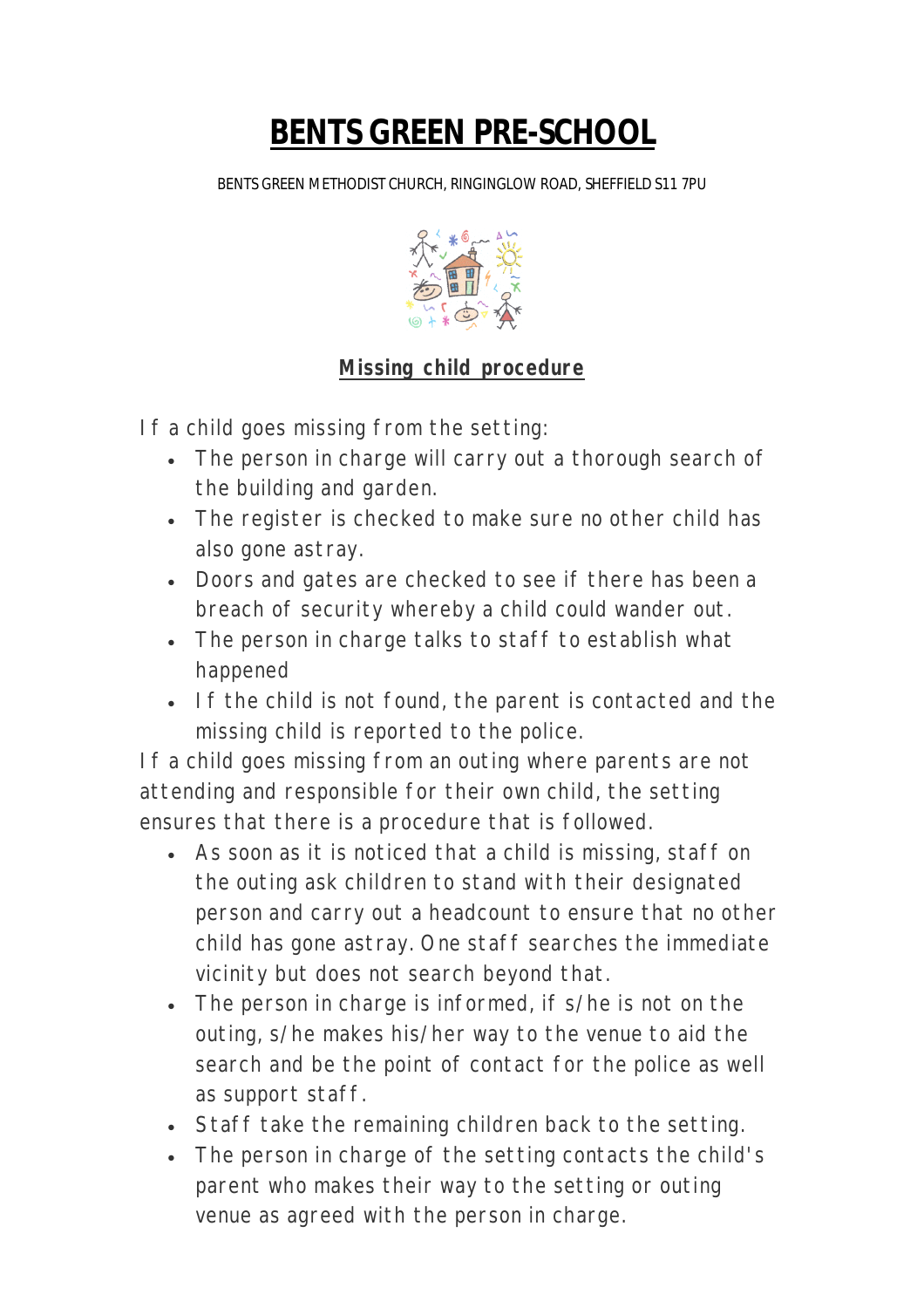## **BENTS GREEN PRE-SCHOOL**

BENTS GREEN METHODIST CHURCH, RINGINGLOW ROAD, SHEFFIELD S11 7PU



## **Missing child procedure**

If a child goes missing from the setting:

- The person in charge will carry out a thorough search of the building and garden.
- The register is checked to make sure no other child has also gone astray.
- Doors and gates are checked to see if there has been a breach of security whereby a child could wander out.
- The person in charge talks to staff to establish what happened
- If the child is not found, the parent is contacted and the missing child is reported to the police.

If a child goes missing from an outing where parents are not attending and responsible for their own child, the setting ensures that there is a procedure that is followed.

- As soon as it is noticed that a child is missing, staff on the outing ask children to stand with their designated person and carry out a headcount to ensure that no other child has gone astray. One staff searches the immediate vicinity but does not search beyond that.
- The person in charge is informed, if s/he is not on the outing, s/he makes his/her way to the venue to aid the search and be the point of contact for the police as well as support staff.
- Staff take the remaining children back to the setting.
- The person in charge of the setting contacts the child's parent who makes their way to the setting or outing venue as agreed with the person in charge.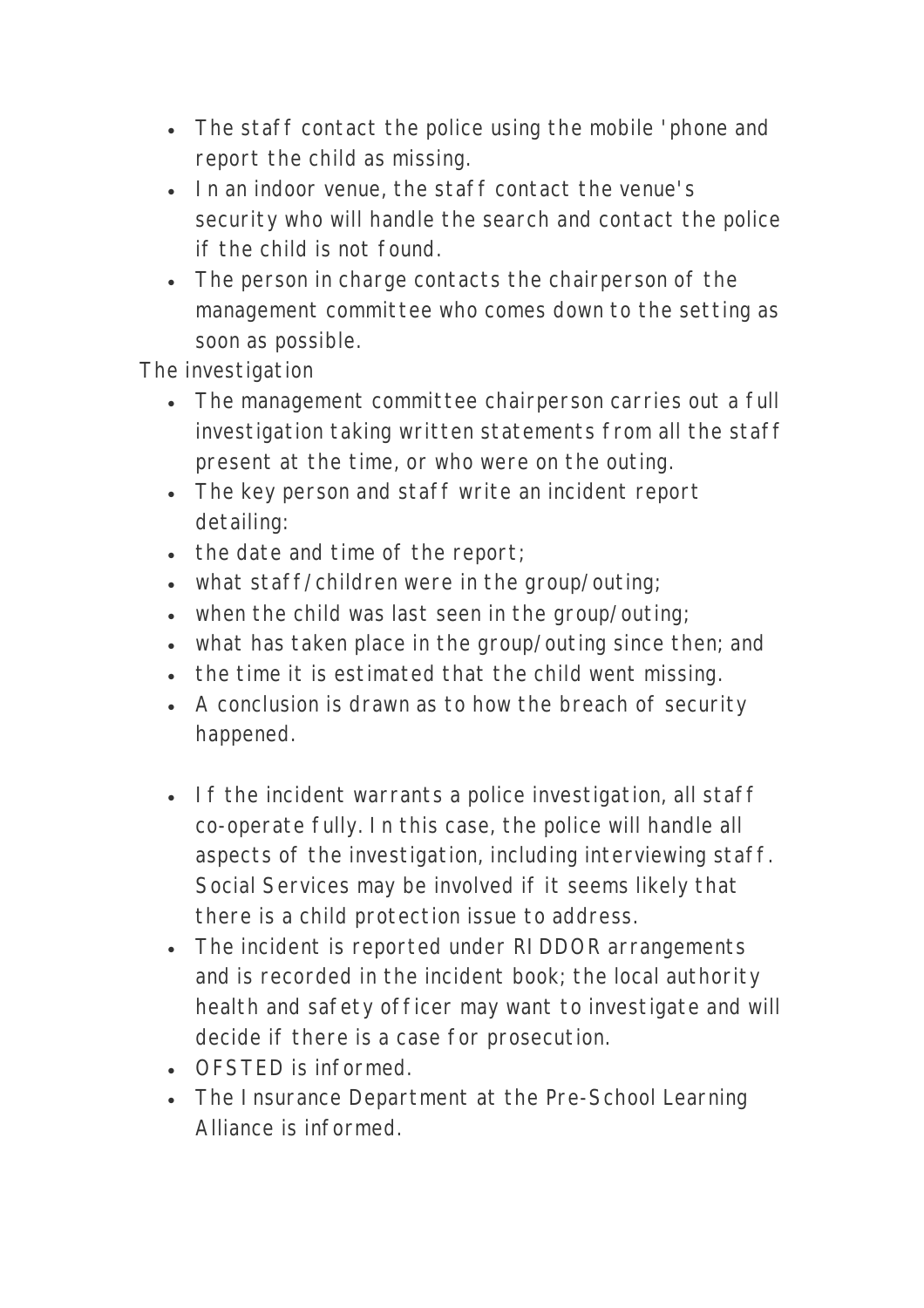- The staff contact the police using the mobile 'phone and report the child as missing.
- In an indoor venue, the staff contact the venue's security who will handle the search and contact the police if the child is not found.
- The person in charge contacts the chairperson of the management committee who comes down to the setting as soon as possible.

The investigation

- The management committee chairperson carries out a full investigation taking written statements from all the staff present at the time, or who were on the outing.
- The key person and staff write an incident report detailing:
- $\bullet$  the date and time of the report;
- what staff/children were in the group/outing;
- when the child was last seen in the group/outing;
- what has taken place in the group/outing since then; and
- the time it is estimated that the child went missing.
- A conclusion is drawn as to how the breach of security happened.
- If the incident warrants a police investigation, all staff co-operate fully. In this case, the police will handle all aspects of the investigation, including interviewing staff. Social Services may be involved if it seems likely that there is a child protection issue to address.
- The incident is reported under RIDDOR arrangements and is recorded in the incident book; the local authority health and safety officer may want to investigate and will decide if there is a case for prosecution.
- OFSTED is informed.
- The Insurance Department at the Pre-School Learning Alliance is informed.